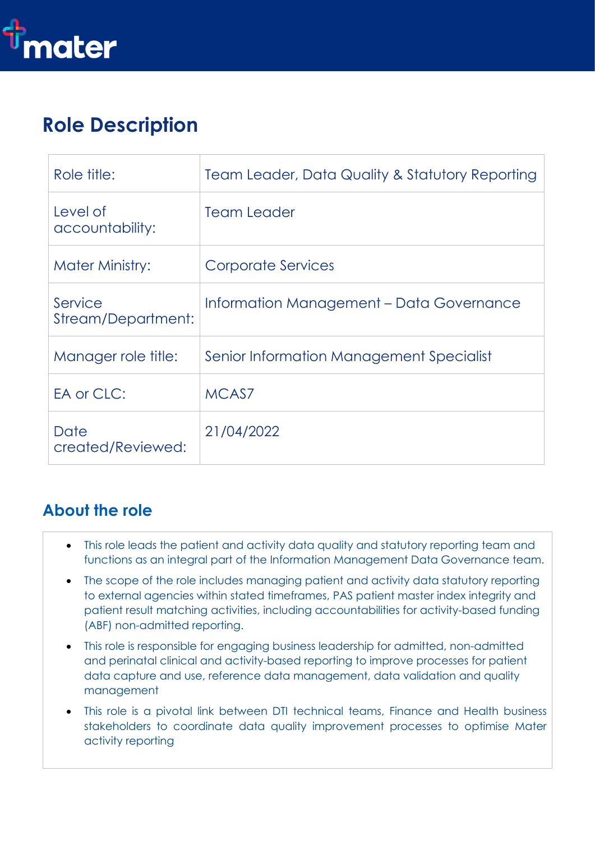

# **Role Description**

| Role title:                   | Team Leader, Data Quality & Statutory Reporting |
|-------------------------------|-------------------------------------------------|
| Level of<br>accountability:   | Team Leader                                     |
| <b>Mater Ministry:</b>        | Corporate Services                              |
| Service<br>Stream/Department: | Information Management - Data Governance        |
| Manager role title:           | Senior Information Management Specialist        |
| EA or CLC:                    | MCAS7                                           |
| Date<br>created/Reviewed:     | 21/04/2022                                      |

### **About the role**

- This role leads the patient and activity data quality and statutory reporting team and functions as an integral part of the Information Management Data Governance team.
- The scope of the role includes managing patient and activity data statutory reporting to external agencies within stated timeframes, PAS patient master index integrity and patient result matching activities, including accountabilities for activity-based funding (ABF) non-admitted reporting.
- This role is responsible for engaging business leadership for admitted, non-admitted and perinatal clinical and activity-based reporting to improve processes for patient data capture and use, reference data management, data validation and quality management
- This role is a pivotal link between DTI technical teams, Finance and Health business stakeholders to coordinate data quality improvement processes to optimise Mater activity reporting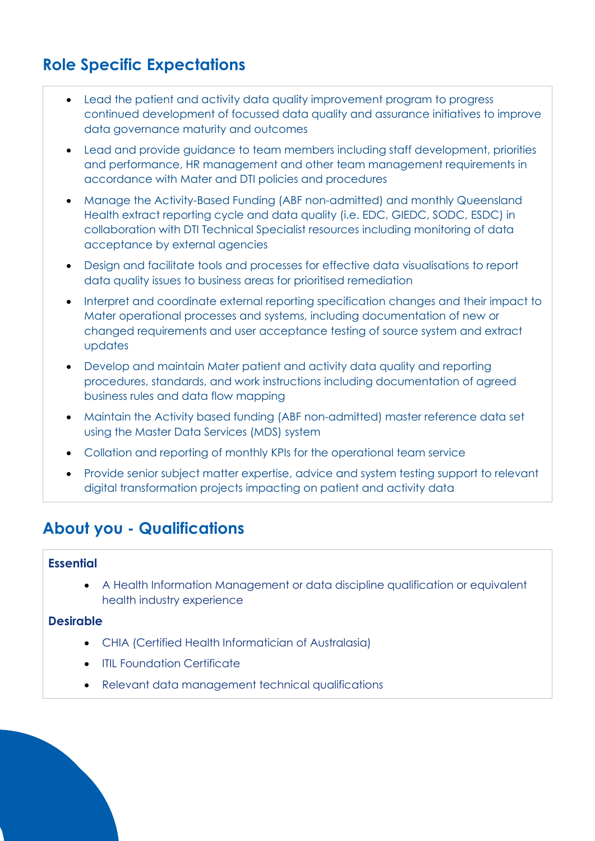## **Role Specific Expectations**

- Lead the patient and activity data quality improvement program to progress continued development of focussed data quality and assurance initiatives to improve data governance maturity and outcomes
- Lead and provide guidance to team members including staff development, priorities and performance, HR management and other team management requirements in accordance with Mater and DTI policies and procedures
- Manage the Activity-Based Funding (ABF non-admitted) and monthly Queensland Health extract reporting cycle and data quality (i.e. EDC, GIEDC, SODC, ESDC) in collaboration with DTI Technical Specialist resources including monitoring of data acceptance by external agencies
- Design and facilitate tools and processes for effective data visualisations to report data quality issues to business areas for prioritised remediation
- Interpret and coordinate external reporting specification changes and their impact to Mater operational processes and systems, including documentation of new or changed requirements and user acceptance testing of source system and extract updates
- Develop and maintain Mater patient and activity data quality and reporting procedures, standards, and work instructions including documentation of agreed business rules and data flow mapping
- Maintain the Activity based funding (ABF non-admitted) master reference data set using the Master Data Services (MDS) system
- Collation and reporting of monthly KPIs for the operational team service
- Provide senior subject matter expertise, advice and system testing support to relevant digital transformation projects impacting on patient and activity data

### **About you - Qualifications**

#### **Essential**

• A Health Information Management or data discipline qualification or equivalent health industry experience

#### **Desirable**

- CHIA (Certified Health Informatician of Australasia)
- ITIL Foundation Certificate
- Relevant data management technical qualifications